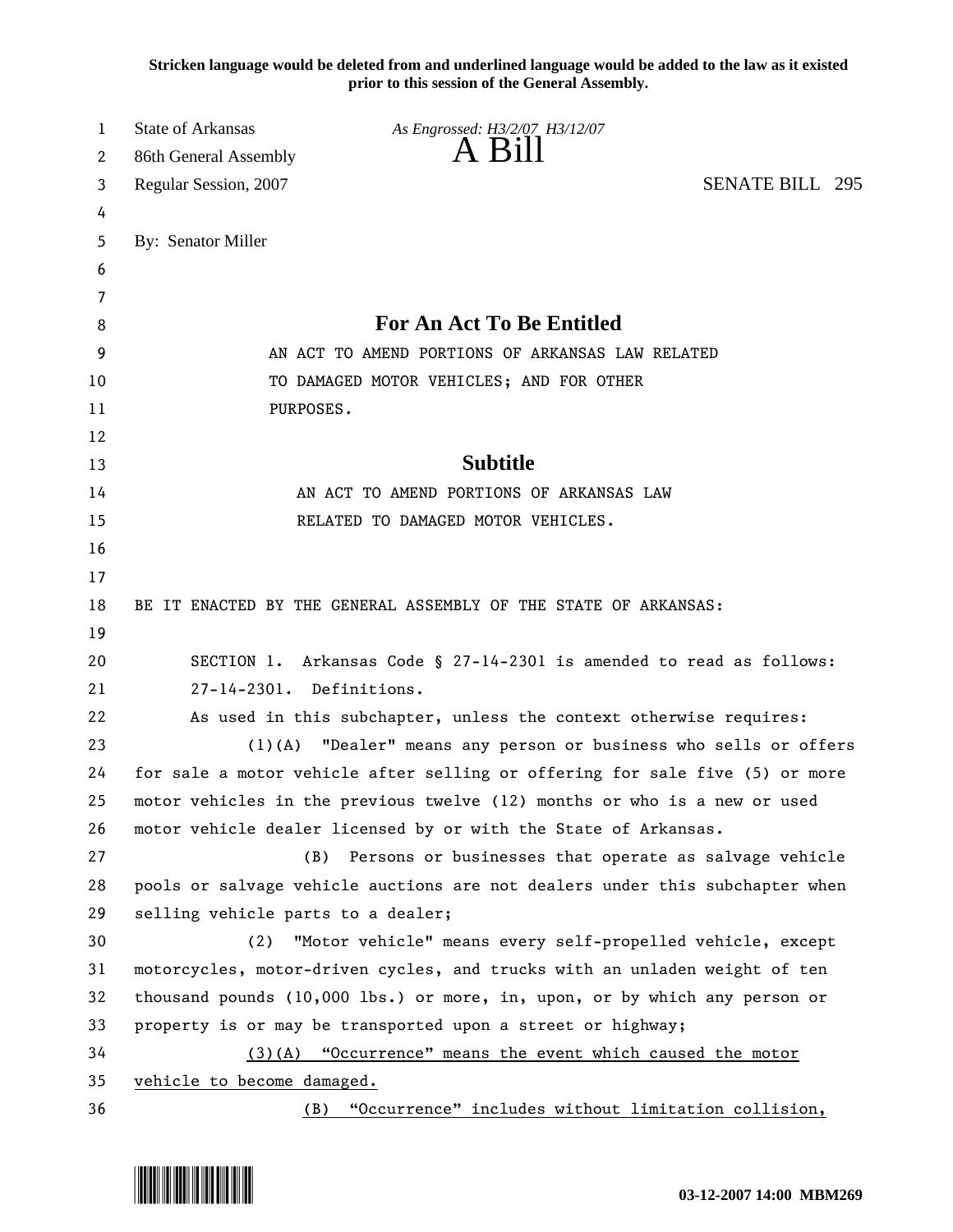**Stricken language would be deleted from and underlined language would be added to the law as it existed prior to this session of the General Assembly.**

| 1  | State of Arkansas                  | As Engrossed: H3/2/07 H3/12/07                                               |                        |
|----|------------------------------------|------------------------------------------------------------------------------|------------------------|
| 2  | 86th General Assembly              | $A$ B <sub>1</sub> $\parallel$                                               |                        |
| 3  | Regular Session, 2007              |                                                                              | <b>SENATE BILL 295</b> |
| 4  |                                    |                                                                              |                        |
| 5  | By: Senator Miller                 |                                                                              |                        |
| 6  |                                    |                                                                              |                        |
| 7  |                                    |                                                                              |                        |
| 8  |                                    | <b>For An Act To Be Entitled</b>                                             |                        |
| 9  |                                    | AN ACT TO AMEND PORTIONS OF ARKANSAS LAW RELATED                             |                        |
| 10 |                                    | TO DAMAGED MOTOR VEHICLES; AND FOR OTHER                                     |                        |
| 11 | PURPOSES.                          |                                                                              |                        |
| 12 |                                    |                                                                              |                        |
| 13 |                                    | <b>Subtitle</b>                                                              |                        |
| 14 |                                    | AN ACT TO AMEND PORTIONS OF ARKANSAS LAW                                     |                        |
| 15 |                                    | RELATED TO DAMAGED MOTOR VEHICLES.                                           |                        |
| 16 |                                    |                                                                              |                        |
| 17 |                                    |                                                                              |                        |
| 18 |                                    | BE IT ENACTED BY THE GENERAL ASSEMBLY OF THE STATE OF ARKANSAS:              |                        |
| 19 |                                    |                                                                              |                        |
| 20 |                                    | SECTION 1. Arkansas Code § 27-14-2301 is amended to read as follows:         |                        |
| 21 | 27-14-2301. Definitions.           |                                                                              |                        |
| 22 |                                    | As used in this subchapter, unless the context otherwise requires:           |                        |
| 23 | $(1)$ (A)                          | "Dealer" means any person or business who sells or offers                    |                        |
| 24 |                                    | for sale a motor vehicle after selling or offering for sale five (5) or more |                        |
| 25 |                                    | motor vehicles in the previous twelve (12) months or who is a new or used    |                        |
| 26 |                                    | motor vehicle dealer licensed by or with the State of Arkansas.              |                        |
| 27 | (B)                                | Persons or businesses that operate as salvage vehicle                        |                        |
| 28 |                                    | pools or salvage vehicle auctions are not dealers under this subchapter when |                        |
| 29 | selling vehicle parts to a dealer; |                                                                              |                        |
| 30 | (2)                                | "Motor vehicle" means every self-propelled vehicle, except                   |                        |
| 31 |                                    | motorcycles, motor-driven cycles, and trucks with an unladen weight of ten   |                        |
| 32 |                                    | thousand pounds $(10,000$ lbs.) or more, in, upon, or by which any person or |                        |
| 33 |                                    | property is or may be transported upon a street or highway;                  |                        |
| 34 |                                    | (3)(A) "Occurrence" means the event which caused the motor                   |                        |
| 35 | vehicle to become damaged.         |                                                                              |                        |
| 36 | (B)                                | "Occurrence" includes without limitation collision,                          |                        |

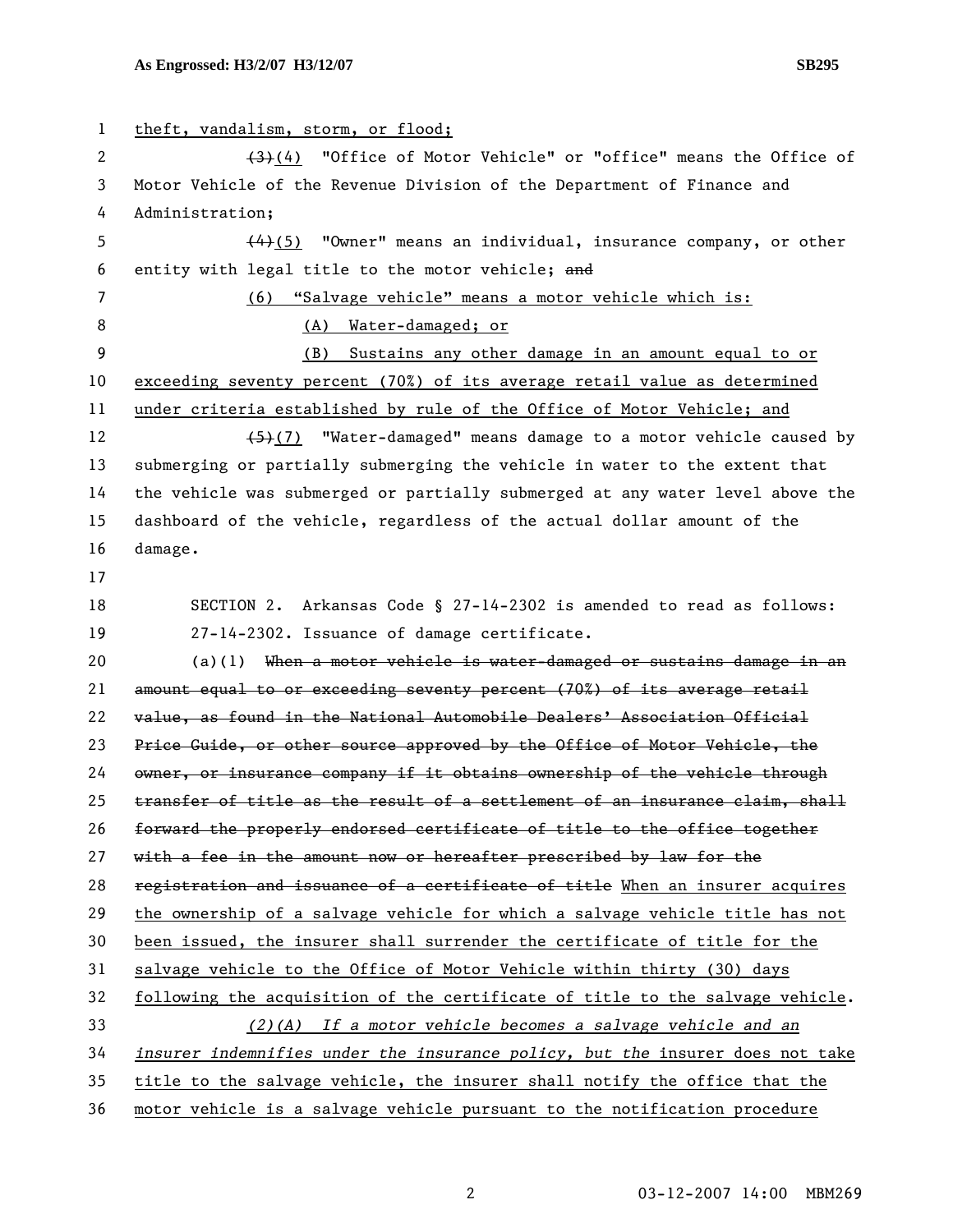1 theft, vandalism, storm, or flood; 2 (3)(4) "Office of Motor Vehicle" or "office" means the Office of 3 Motor Vehicle of the Revenue Division of the Department of Finance and 4 Administration; 5  $(4)$ (5) "Owner" means an individual, insurance company, or other 6 entity with legal title to the motor vehicle; and 7 (6) "Salvage vehicle" means a motor vehicle which is: 8 (A) Water-damaged; or 9 (B) Sustains any other damage in an amount equal to or 10 exceeding seventy percent (70%) of its average retail value as determined 11 under criteria established by rule of the Office of Motor Vehicle; and 12 (5)(7) "Water-damaged" means damage to a motor vehicle caused by 13 submerging or partially submerging the vehicle in water to the extent that 14 the vehicle was submerged or partially submerged at any water level above the 15 dashboard of the vehicle, regardless of the actual dollar amount of the 16 damage. 17 18 SECTION 2. Arkansas Code § 27-14-2302 is amended to read as follows: 19 27-14-2302. Issuance of damage certificate. 20 (a)(1) When a motor vehicle is water-damaged or sustains damage in an 21 amount equal to or exceeding seventy percent (70%) of its average retail 22 value, as found in the National Automobile Dealers' Association Official 23 Price Guide, or other source approved by the Office of Motor Vehicle, the 24 owner, or insurance company if it obtains ownership of the vehicle through 25 transfer of title as the result of a settlement of an insurance claim, shall 26 forward the properly endorsed certificate of title to the office together 27 with a fee in the amount now or hereafter prescribed by law for the 28 registration and issuance of a certificate of title When an insurer acquires 29 the ownership of a salvage vehicle for which a salvage vehicle title has not 30 been issued, the insurer shall surrender the certificate of title for the 31 salvage vehicle to the Office of Motor Vehicle within thirty (30) days 32 following the acquisition of the certificate of title to the salvage vehicle. 33 *(2)(A) If a motor vehicle becomes a salvage vehicle and an*  34 *insurer indemnifies under the insurance policy, but the* insurer does not take 35 title to the salvage vehicle, the insurer shall notify the office that the

36 motor vehicle is a salvage vehicle pursuant to the notification procedure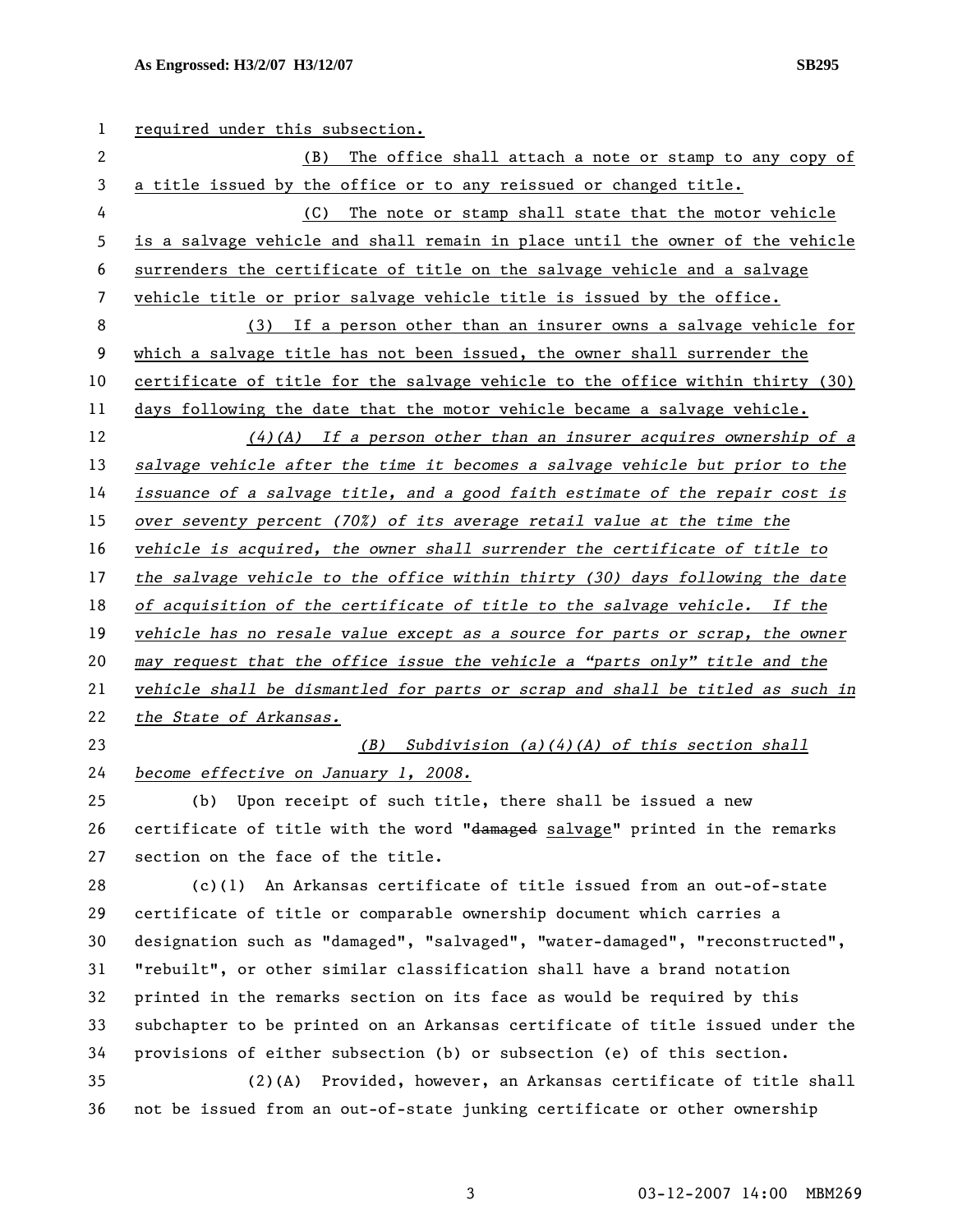## **As Engrossed: H3/2/07 H3/12/07 SB295**

| 1  | required under this subsection.                                               |
|----|-------------------------------------------------------------------------------|
| 2  | The office shall attach a note or stamp to any copy of<br>(B)                 |
| 3  | a title issued by the office or to any reissued or changed title.             |
| 4  | The note or stamp shall state that the motor vehicle<br>(C)                   |
| 5  | is a salvage vehicle and shall remain in place until the owner of the vehicle |
| 6  | surrenders the certificate of title on the salvage vehicle and a salvage      |
| 7  | vehicle title or prior salvage vehicle title is issued by the office.         |
| 8  | (3) If a person other than an insurer owns a salvage vehicle for              |
| 9  | which a salvage title has not been issued, the owner shall surrender the      |
| 10 | certificate of title for the salvage vehicle to the office within thirty (30) |
| 11 | days following the date that the motor vehicle became a salvage vehicle.      |
| 12 | $(4)(A)$ If a person other than an insurer acquires ownership of a            |
| 13 | salvage vehicle after the time it becomes a salvage vehicle but prior to the  |
| 14 | issuance of a salvage title, and a good faith estimate of the repair cost is  |
| 15 | over seventy percent (70%) of its average retail value at the time the        |
| 16 | vehicle is acquired, the owner shall surrender the certificate of title to    |
| 17 | the salvage vehicle to the office within thirty (30) days following the date  |
| 18 | of acquisition of the certificate of title to the salvage vehicle. If the     |
| 19 | vehicle has no resale value except as a source for parts or scrap, the owner  |
| 20 | may request that the office issue the vehicle a "parts only" title and the    |
| 21 | vehicle shall be dismantled for parts or scrap and shall be titled as such in |
| 22 | the State of Arkansas.                                                        |
| 23 | $(B)$ Subdivision $(a)(4)(A)$ of this section shall                           |
| 24 | become effective on January 1, 2008.                                          |
| 25 | Upon receipt of such title, there shall be issued a new<br>(b)                |
| 26 | certificate of title with the word "damaged salvage" printed in the remarks   |
| 27 | section on the face of the title.                                             |
| 28 | $(c)(1)$ An Arkansas certificate of title issued from an out-of-state         |
| 29 | certificate of title or comparable ownership document which carries a         |
| 30 | designation such as "damaged", "salvaged", "water-damaged", "reconstructed",  |
| 31 | "rebuilt", or other similar classification shall have a brand notation        |
| 32 | printed in the remarks section on its face as would be required by this       |
| 33 | subchapter to be printed on an Arkansas certificate of title issued under the |
| 34 | provisions of either subsection (b) or subsection (e) of this section.        |
| 35 | (2)(A) Provided, however, an Arkansas certificate of title shall              |
| 36 | not be issued from an out-of-state junking certificate or other ownership     |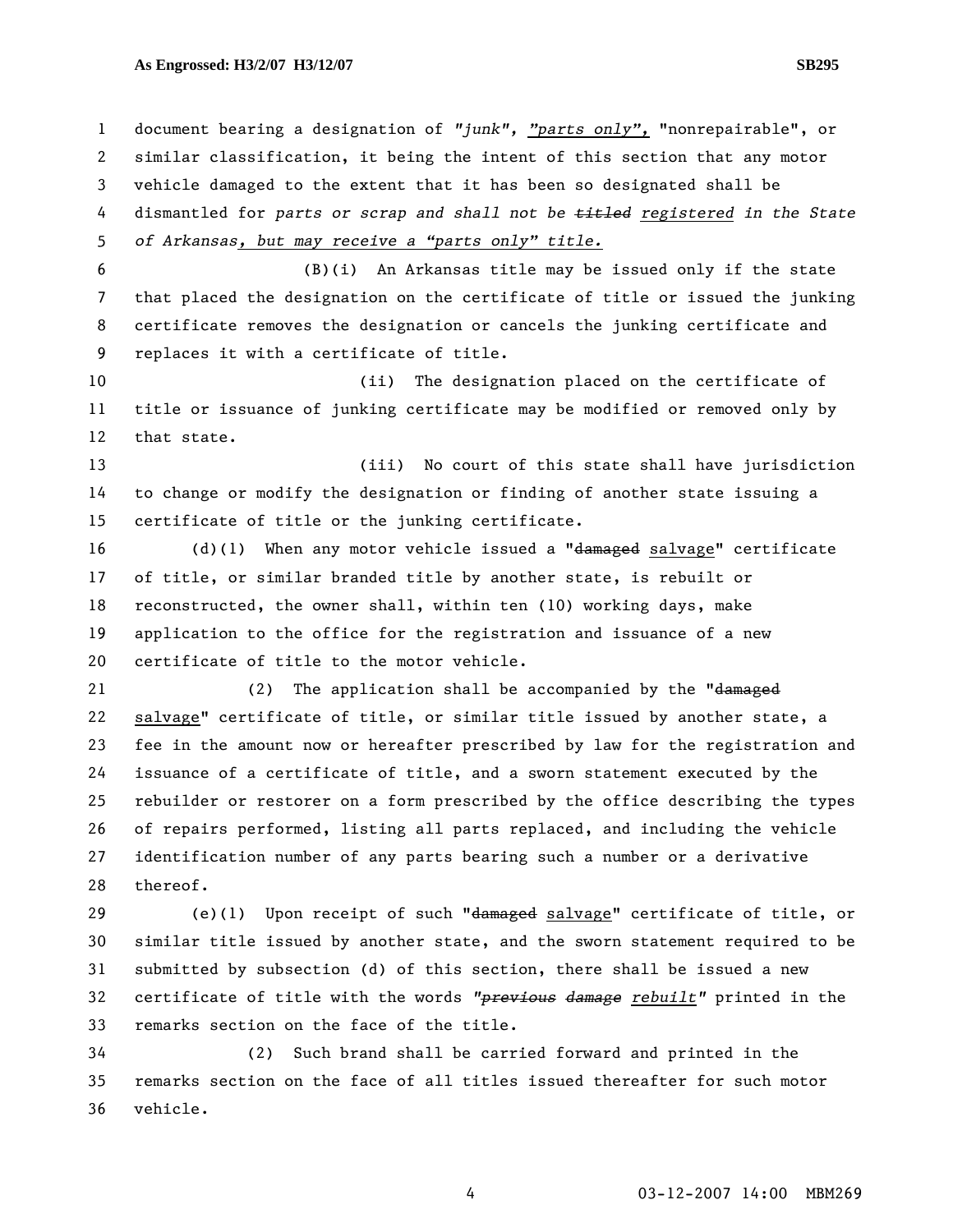## **As Engrossed: H3/2/07 H3/12/07 SB295**

1 document bearing a designation of *"junk", "parts only",* "nonrepairable", or 2 similar classification, it being the intent of this section that any motor 3 vehicle damaged to the extent that it has been so designated shall be 4 dismantled for *parts or scrap and shall not be titled registered in the State*  5 *of Arkansas, but may receive a "parts only" title.* 6 (B)(i) An Arkansas title may be issued only if the state 7 that placed the designation on the certificate of title or issued the junking 8 certificate removes the designation or cancels the junking certificate and 9 replaces it with a certificate of title. 10 (ii) The designation placed on the certificate of 11 title or issuance of junking certificate may be modified or removed only by 12 that state. 13 (iii) No court of this state shall have jurisdiction 14 to change or modify the designation or finding of another state issuing a 15 certificate of title or the junking certificate. 16 (d)(1) When any motor vehicle issued a "damaged salvage" certificate 17 of title, or similar branded title by another state, is rebuilt or 18 reconstructed, the owner shall, within ten (10) working days, make 19 application to the office for the registration and issuance of a new 20 certificate of title to the motor vehicle. 21 (2) The application shall be accompanied by the "damaged 22 salvage" certificate of title, or similar title issued by another state, a 23 fee in the amount now or hereafter prescribed by law for the registration and 24 issuance of a certificate of title, and a sworn statement executed by the 25 rebuilder or restorer on a form prescribed by the office describing the types 26 of repairs performed, listing all parts replaced, and including the vehicle 27 identification number of any parts bearing such a number or a derivative 28 thereof. 29 (e)(1) Upon receipt of such "damaged salvage" certificate of title, or 30 similar title issued by another state, and the sworn statement required to be 31 submitted by subsection (d) of this section, there shall be issued a new 32 certificate of title with the words *"previous damage rebuilt"* printed in the 33 remarks section on the face of the title. 34 (2) Such brand shall be carried forward and printed in the 35 remarks section on the face of all titles issued thereafter for such motor

36 vehicle.

4 03-12-2007 14:00 MBM269